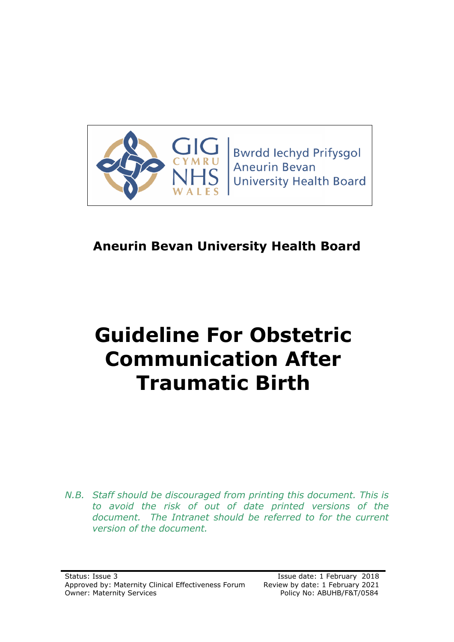

**Bwrdd lechyd Prifysgol Aneurin Bevan University Health Board** 

# **Aneurin Bevan University Health Board**

# **Guideline For Obstetric Communication After Traumatic Birth**

*N.B. Staff should be discouraged from printing this document. This is to avoid the risk of out of date printed versions of the document. The Intranet should be referred to for the current version of the document.*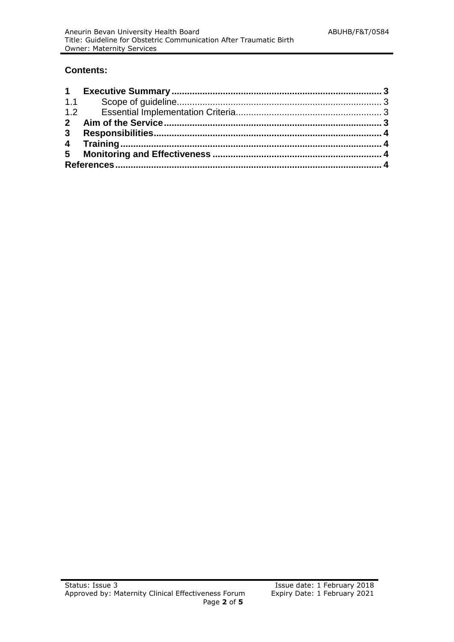#### **Contents:**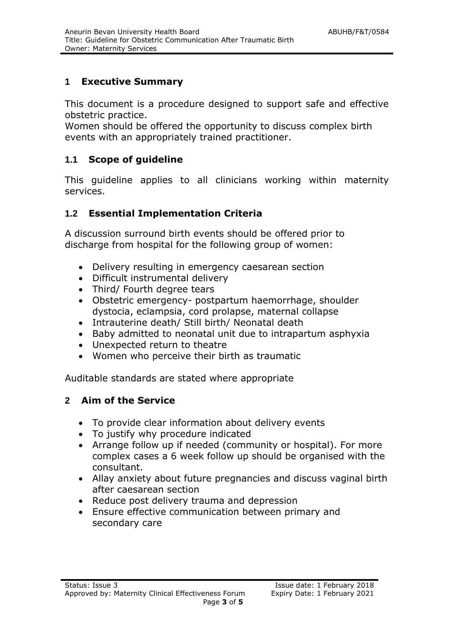## **1 Executive Summary**

This document is a procedure designed to support safe and effective obstetric practice.

Women should be offered the opportunity to discuss complex birth events with an appropriately trained practitioner.

#### **1.1 Scope of guideline**

This guideline applies to all clinicians working within maternity services.

## **1.2 Essential Implementation Criteria**

A discussion surround birth events should be offered prior to discharge from hospital for the following group of women:

- Delivery resulting in emergency caesarean section
- Difficult instrumental delivery
- Third/ Fourth degree tears
- Obstetric emergency- postpartum haemorrhage, shoulder dystocia, eclampsia, cord prolapse, maternal collapse
- Intrauterine death/ Still birth/ Neonatal death
- Baby admitted to neonatal unit due to intrapartum asphyxia
- Unexpected return to theatre
- Women who perceive their birth as traumatic

Auditable standards are stated where appropriate

# **2 Aim of the Service**

- To provide clear information about delivery events
- To justify why procedure indicated
- Arrange follow up if needed (community or hospital). For more complex cases a 6 week follow up should be organised with the consultant.
- Allay anxiety about future pregnancies and discuss vaginal birth after caesarean section
- Reduce post delivery trauma and depression
- Ensure effective communication between primary and secondary care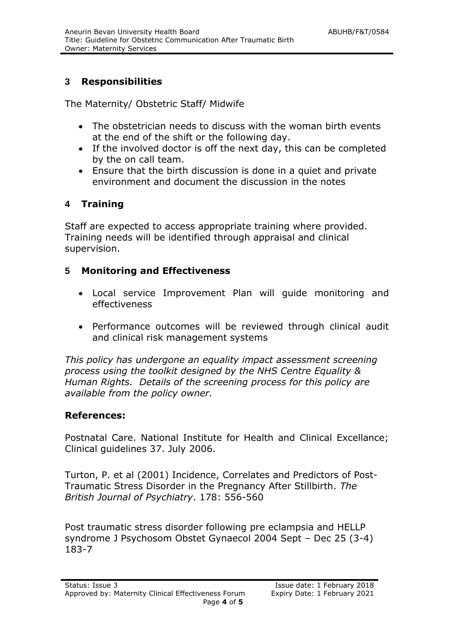# **3 Responsibilities**

The Maternity/ Obstetric Staff/ Midwife

- The obstetrician needs to discuss with the woman birth events at the end of the shift or the following day.
- If the involved doctor is off the next day, this can be completed by the on call team.
- Ensure that the birth discussion is done in a quiet and private environment and document the discussion in the notes

## **4 Training**

Staff are expected to access appropriate training where provided. Training needs will be identified through appraisal and clinical supervision.

#### **5 Monitoring and Effectiveness**

- Local service Improvement Plan will guide monitoring and effectiveness
- Performance outcomes will be reviewed through clinical audit and clinical risk management systems

*This policy has undergone an equality impact assessment screening process using the toolkit designed by the NHS Centre Equality & Human Rights. Details of the screening process for this policy are available from the policy owner.*

#### **References:**

Postnatal Care. National Institute for Health and Clinical Excellance; Clinical guidelines 37. July 2006.

Turton, P. et al (2001) Incidence, Correlates and Predictors of Post-Traumatic Stress Disorder in the Pregnancy After Stillbirth. *The British Journal of Psychiatry*. 178: 556-560

Post traumatic stress disorder following pre eclampsia and HELLP syndrome J Psychosom Obstet Gynaecol 2004 Sept – Dec 25 (3-4) 183-7